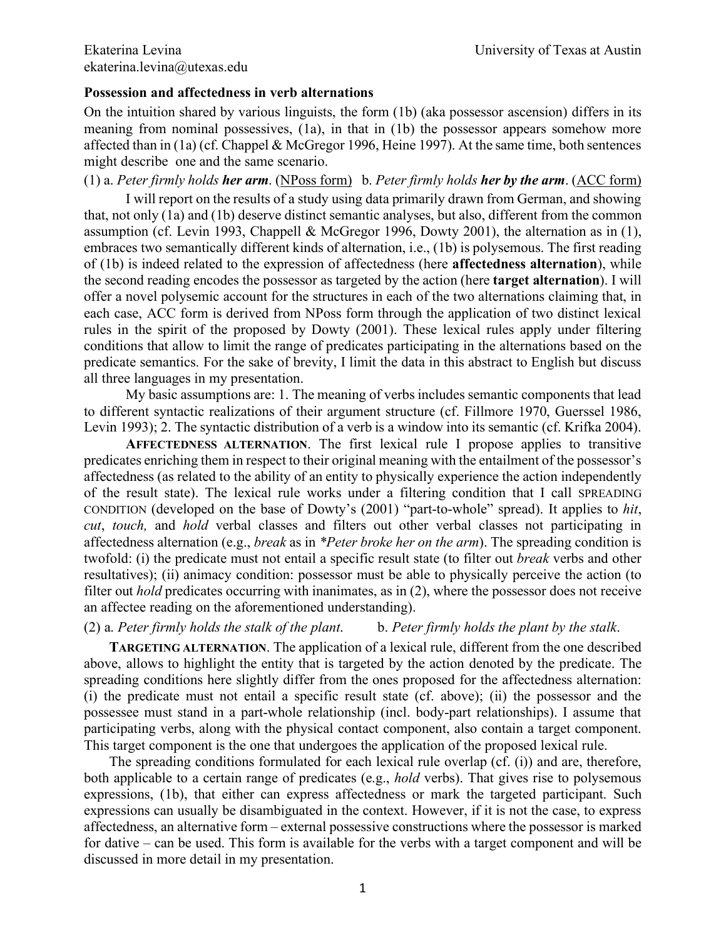## **Possession and affectedness in verb alternations**

On the intuition shared by various linguists, the form (1b) (aka possessor ascension) differs in its meaning from nominal possessives, (1a), in that in (1b) the possessor appears somehow more affected than in (1a) (cf. Chappel & McGregor 1996, Heine 1997). At the same time, both sentences might describe one and the same scenario.

(1) a. *Peter firmly holds her arm*. (NPoss form) b. *Peter firmly holds her by the arm*. (ACC form)

I will report on the results of a study using data primarily drawn from German, and showing that, not only (1a) and (1b) deserve distinct semantic analyses, but also, different from the common assumption (cf. Levin 1993, Chappell & McGregor 1996, Dowty 2001), the alternation as in (1), embraces two semantically different kinds of alternation, i.e., (1b) is polysemous. The first reading of (1b) is indeed related to the expression of affectedness (here **affectedness alternation**), while the second reading encodes the possessor as targeted by the action (here **target alternation**). I will offer a novel polysemic account for the structures in each of the two alternations claiming that, in each case, ACC form is derived from NPoss form through the application of two distinct lexical rules in the spirit of the proposed by Dowty (2001). These lexical rules apply under filtering conditions that allow to limit the range of predicates participating in the alternations based on the predicate semantics. For the sake of brevity, I limit the data in this abstract to English but discuss all three languages in my presentation.

My basic assumptions are: 1. The meaning of verbs includes semantic components that lead to different syntactic realizations of their argument structure (cf. Fillmore 1970, Guerssel 1986, Levin 1993); 2. The syntactic distribution of a verb is a window into its semantic (cf. Krifka 2004).

**AFFECTEDNESS ALTERNATION**. The first lexical rule I propose applies to transitive predicates enriching them in respect to their original meaning with the entailment of the possessor's affectedness (as related to the ability of an entity to physically experience the action independently of the result state). The lexical rule works under a filtering condition that I call SPREADING CONDITION (developed on the base of Dowty's (2001) "part-to-whole" spread). It applies to *hit*, *cut*, *touch,* and *hold* verbal classes and filters out other verbal classes not participating in affectedness alternation (e.g., *break* as in *\*Peter broke her on the arm*). The spreading condition is twofold: (i) the predicate must not entail a specific result state (to filter out *break* verbs and other resultatives); (ii) animacy condition: possessor must be able to physically perceive the action (to filter out *hold* predicates occurring with inanimates, as in (2), where the possessor does not receive an affectee reading on the aforementioned understanding).

(2) a. *Peter firmly holds the stalk of the plant*. b. *Peter firmly holds the plant by the stalk*.

**TARGETING ALTERNATION**. The application of a lexical rule, different from the one described above, allows to highlight the entity that is targeted by the action denoted by the predicate. The spreading conditions here slightly differ from the ones proposed for the affectedness alternation: (i) the predicate must not entail a specific result state (cf. above); (ii) the possessor and the possessee must stand in a part-whole relationship (incl. body-part relationships). I assume that participating verbs, along with the physical contact component, also contain a target component. This target component is the one that undergoes the application of the proposed lexical rule.

The spreading conditions formulated for each lexical rule overlap (cf. (i)) and are, therefore, both applicable to a certain range of predicates (e.g., *hold* verbs). That gives rise to polysemous expressions, (1b), that either can express affectedness or mark the targeted participant. Such expressions can usually be disambiguated in the context. However, if it is not the case, to express affectedness, an alternative form – external possessive constructions where the possessor is marked for dative – can be used. This form is available for the verbs with a target component and will be discussed in more detail in my presentation.